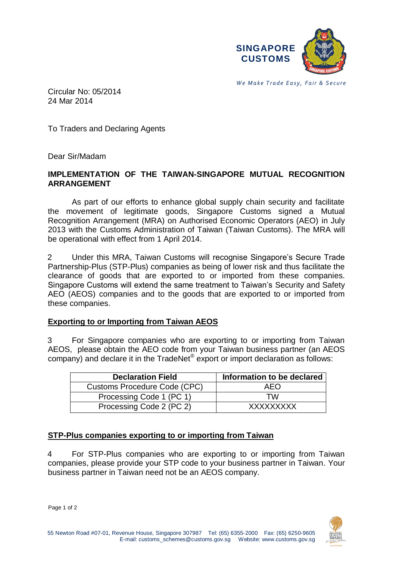

*We Make Trade Easy, Fair & Secure* 

Circular No: 05/2014 24 Mar 2014

To Traders and Declaring Agents

Dear Sir/Madam

#### **IMPLEMENTATION OF THE TAIWAN-SINGAPORE MUTUAL RECOGNITION ARRANGEMENT**

As part of our efforts to enhance global supply chain security and facilitate the movement of legitimate goods, Singapore Customs signed a Mutual Recognition Arrangement (MRA) on Authorised Economic Operators (AEO) in July 2013 with the Customs Administration of Taiwan (Taiwan Customs). The MRA will be operational with effect from 1 April 2014.

2 Under this MRA, Taiwan Customs will recognise Singapore's Secure Trade Partnership-Plus (STP-Plus) companies as being of lower risk and thus facilitate the clearance of goods that are exported to or imported from these companies. Singapore Customs will extend the same treatment to Taiwan's Security and Safety AEO (AEOS) companies and to the goods that are exported to or imported from these companies.

#### **Exporting to or Importing from Taiwan AEOS**

3 For Singapore companies who are exporting to or importing from Taiwan AEOS, please obtain the AEO code from your Taiwan business partner (an AEOS company) and declare it in the TradeNet® export or import declaration as follows:

| <b>Declaration Field</b>     | Information to be declared |
|------------------------------|----------------------------|
| Customs Procedure Code (CPC) | AFO                        |
| Processing Code 1 (PC 1)     | TW                         |
| Processing Code 2 (PC 2)     | <b>XXXXXXXXX</b>           |

## **STP-Plus companies exporting to or importing from Taiwan**

4 For STP-Plus companies who are exporting to or importing from Taiwan companies, please provide your STP code to your business partner in Taiwan. Your business partner in Taiwan need not be an AEOS company.